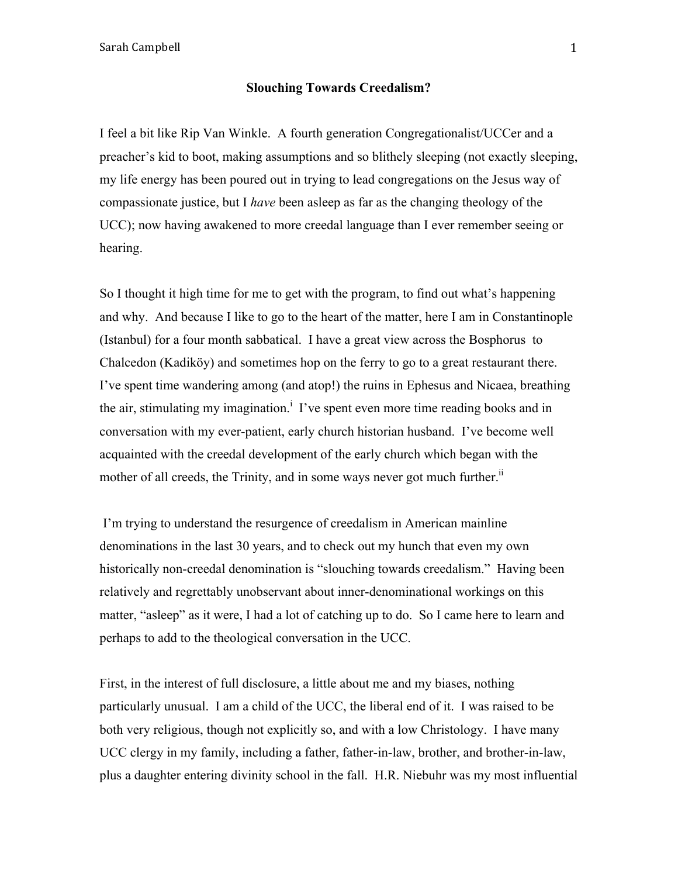### **Slouching Towards Creedalism?**

I feel a bit like Rip Van Winkle. A fourth generation Congregationalist/UCCer and a preacher's kid to boot, making assumptions and so blithely sleeping (not exactly sleeping, my life energy has been poured out in trying to lead congregations on the Jesus way of compassionate justice, but I *have* been asleep as far as the changing theology of the UCC); now having awakened to more creedal language than I ever remember seeing or hearing.

So I thought it high time for me to get with the program, to find out what's happening and why. And because I like to go to the heart of the matter, here I am in Constantinople (Istanbul) for a four month sabbatical. I have a great view across the Bosphorus to Chalcedon (Kadiköy) and sometimes hop on the ferry to go to a great restaurant there. I've spent time wandering among (and atop!) the ruins in Ephesus and Nicaea, breathing the air, stimulating my imagination.<sup>1</sup> I've spent even more time reading books and in conversation with my ever-patient, early church historian husband. I've become well acquainted with the creedal development of the early church which began with the mother of all creeds, the Trinity, and in some ways never got much further.<sup>ii</sup>

I'm trying to understand the resurgence of creedalism in American mainline denominations in the last 30 years, and to check out my hunch that even my own historically non-creedal denomination is "slouching towards creedalism." Having been relatively and regrettably unobservant about inner-denominational workings on this matter, "asleep" as it were, I had a lot of catching up to do. So I came here to learn and perhaps to add to the theological conversation in the UCC.

First, in the interest of full disclosure, a little about me and my biases, nothing particularly unusual. I am a child of the UCC, the liberal end of it. I was raised to be both very religious, though not explicitly so, and with a low Christology. I have many UCC clergy in my family, including a father, father-in-law, brother, and brother-in-law, plus a daughter entering divinity school in the fall. H.R. Niebuhr was my most influential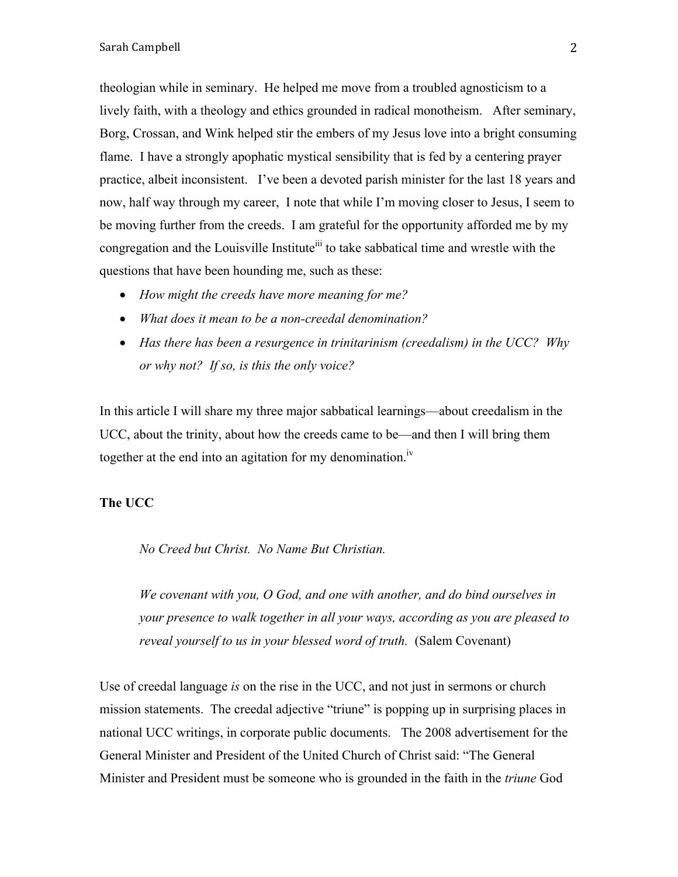theologian while in seminary. He helped me move from a troubled agnosticism to a lively faith, with a theology and ethics grounded in radical monotheism. After seminary, Borg, Crossan, and Wink helped stir the embers of my Jesus love into a bright consuming flame. I have a strongly apophatic mystical sensibility that is fed by a centering prayer practice, albeit inconsistent. I've been a devoted parish minister for the last 18 years and now, half way through my career, I note that while I'm moving closer to Jesus, I seem to be moving further from the creeds. I am grateful for the opportunity afforded me by my congregation and the Louisville Institute<sup>iii</sup> to take sabbatical time and wrestle with the questions that have been hounding me, such as these:

- *How might the creeds have more meaning for me?*
- *What does it mean to be a non-creedal denomination?*
- *Has there has been a resurgence in trinitarinism (creedalism) in the UCC? Why or why not? If so, is this the only voice?*

In this article I will share my three major sabbatical learnings—about creedalism in the UCC, about the trinity, about how the creeds came to be—and then I will bring them together at the end into an agitation for my denomination.<sup>iv</sup>

# **The UCC**

*No Creed but Christ. No Name But Christian.* 

*We covenant with you, O God, and one with another, and do bind ourselves in your presence to walk together in all your ways, according as you are pleased to reveal yourself to us in your blessed word of truth.* (Salem Covenant)

Use of creedal language *is* on the rise in the UCC, and not just in sermons or church mission statements. The creedal adjective "triune" is popping up in surprising places in national UCC writings, in corporate public documents. The 2008 advertisement for the General Minister and President of the United Church of Christ said: "The General Minister and President must be someone who is grounded in the faith in the *triune* God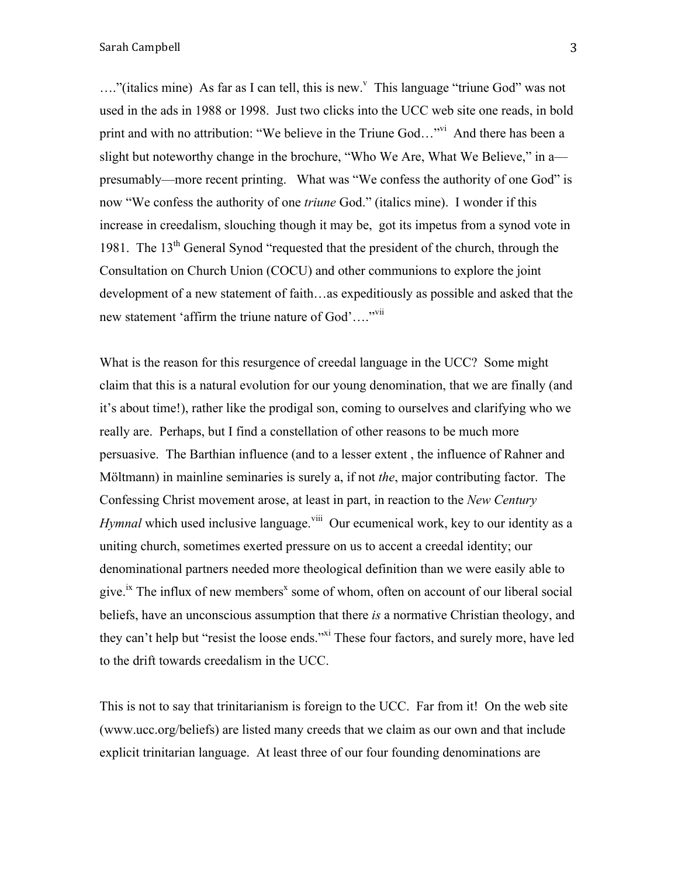$\ldots$ "(italics mine) As far as I can tell, this is new." This language "triune God" was not used in the ads in 1988 or 1998. Just two clicks into the UCC web site one reads, in bold print and with no attribution: "We believe in the Triune God..."<sup>vi</sup> And there has been a slight but noteworthy change in the brochure, "Who We Are, What We Believe," in a presumably—more recent printing. What was "We confess the authority of one God" is now "We confess the authority of one *triune* God." (italics mine). I wonder if this increase in creedalism, slouching though it may be, got its impetus from a synod vote in 1981. The 13<sup>th</sup> General Synod "requested that the president of the church, through the Consultation on Church Union (COCU) and other communions to explore the joint development of a new statement of faith…as expeditiously as possible and asked that the new statement 'affirm the triune nature of God'...."<sup>vii</sup>

What is the reason for this resurgence of creedal language in the UCC? Some might claim that this is a natural evolution for our young denomination, that we are finally (and it's about time!), rather like the prodigal son, coming to ourselves and clarifying who we really are. Perhaps, but I find a constellation of other reasons to be much more persuasive. The Barthian influence (and to a lesser extent , the influence of Rahner and Möltmann) in mainline seminaries is surely a, if not *the*, major contributing factor. The Confessing Christ movement arose, at least in part, in reaction to the *New Century Hymnal* which used inclusive language.<sup>viii</sup> Our ecumenical work, key to our identity as a uniting church, sometimes exerted pressure on us to accent a creedal identity; our denominational partners needed more theological definition than we were easily able to give.<sup>ix</sup> The influx of new members<sup>x</sup> some of whom, often on account of our liberal social beliefs, have an unconscious assumption that there *is* a normative Christian theology, and they can't help but "resist the loose ends."<sup>xi</sup> These four factors, and surely more, have led to the drift towards creedalism in the UCC.

This is not to say that trinitarianism is foreign to the UCC. Far from it! On the web site (www.ucc.org/beliefs) are listed many creeds that we claim as our own and that include explicit trinitarian language. At least three of our four founding denominations are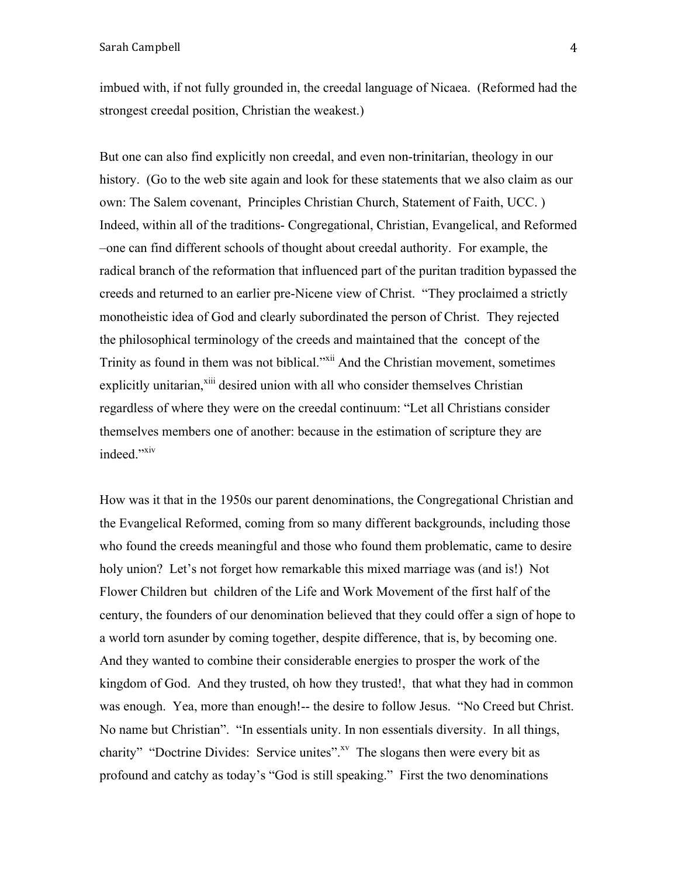imbued with, if not fully grounded in, the creedal language of Nicaea. (Reformed had the strongest creedal position, Christian the weakest.)

But one can also find explicitly non creedal, and even non-trinitarian, theology in our history. (Go to the web site again and look for these statements that we also claim as our own: The Salem covenant, Principles Christian Church, Statement of Faith, UCC. ) Indeed, within all of the traditions- Congregational, Christian, Evangelical, and Reformed –one can find different schools of thought about creedal authority. For example, the radical branch of the reformation that influenced part of the puritan tradition bypassed the creeds and returned to an earlier pre-Nicene view of Christ. "They proclaimed a strictly monotheistic idea of God and clearly subordinated the person of Christ. They rejected the philosophical terminology of the creeds and maintained that the concept of the Trinity as found in them was not biblical."<sup>Xii</sup> And the Christian movement, sometimes explicitly unitarian,<sup>xiii</sup> desired union with all who consider themselves Christian regardless of where they were on the creedal continuum: "Let all Christians consider themselves members one of another: because in the estimation of scripture they are indeed."<sup>xiv</sup>

How was it that in the 1950s our parent denominations, the Congregational Christian and the Evangelical Reformed, coming from so many different backgrounds, including those who found the creeds meaningful and those who found them problematic, came to desire holy union? Let's not forget how remarkable this mixed marriage was (and is!) Not Flower Children but children of the Life and Work Movement of the first half of the century, the founders of our denomination believed that they could offer a sign of hope to a world torn asunder by coming together, despite difference, that is, by becoming one. And they wanted to combine their considerable energies to prosper the work of the kingdom of God. And they trusted, oh how they trusted!, that what they had in common was enough. Yea, more than enough!-- the desire to follow Jesus. "No Creed but Christ. No name but Christian". "In essentials unity. In non essentials diversity. In all things, charity" "Doctrine Divides: Service unites".<sup>xv</sup> The slogans then were every bit as profound and catchy as today's "God is still speaking." First the two denominations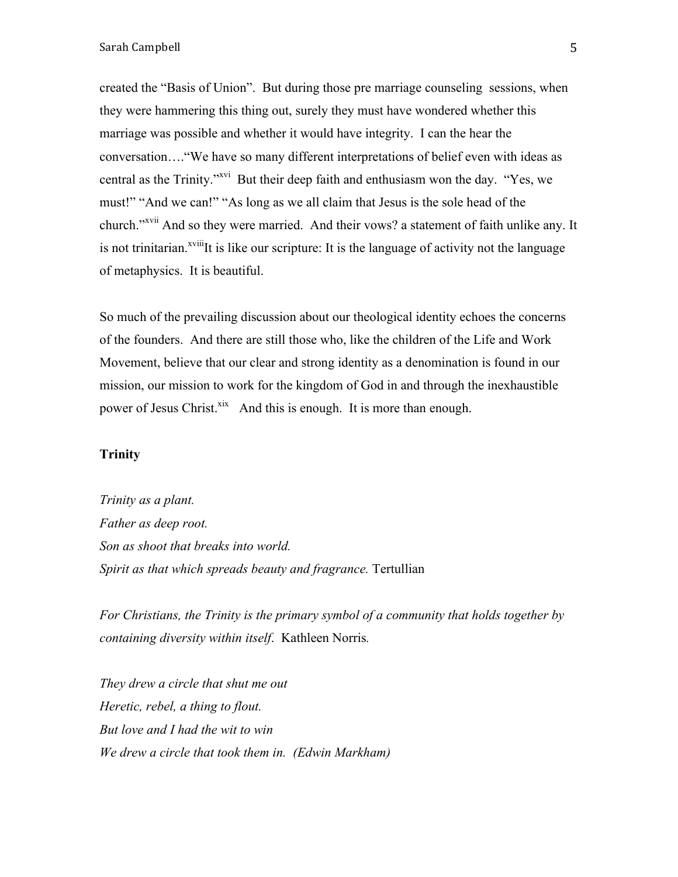created the "Basis of Union". But during those pre marriage counseling sessions, when they were hammering this thing out, surely they must have wondered whether this marriage was possible and whether it would have integrity. I can the hear the conversation…."We have so many different interpretations of belief even with ideas as central as the Trinity."xvi But their deep faith and enthusiasm won the day. "Yes, we must!" "And we can!" "As long as we all claim that Jesus is the sole head of the church."<sup>xvii</sup> And so they were married. And their vows? a statement of faith unlike any. It is not trinitarian.<sup> $xviii$ </sup>It is like our scripture: It is the language of activity not the language of metaphysics. It is beautiful.

So much of the prevailing discussion about our theological identity echoes the concerns of the founders. And there are still those who, like the children of the Life and Work Movement, believe that our clear and strong identity as a denomination is found in our mission, our mission to work for the kingdom of God in and through the inexhaustible power of Jesus Christ.<sup>xix</sup> And this is enough. It is more than enough.

## **Trinity**

*Trinity as a plant. Father as deep root. Son as shoot that breaks into world. Spirit as that which spreads beauty and fragrance.* Tertullian

*For Christians, the Trinity is the primary symbol of a community that holds together by containing diversity within itself*. Kathleen Norris*.* 

*They drew a circle that shut me out Heretic, rebel, a thing to flout. But love and I had the wit to win We drew a circle that took them in. (Edwin Markham)*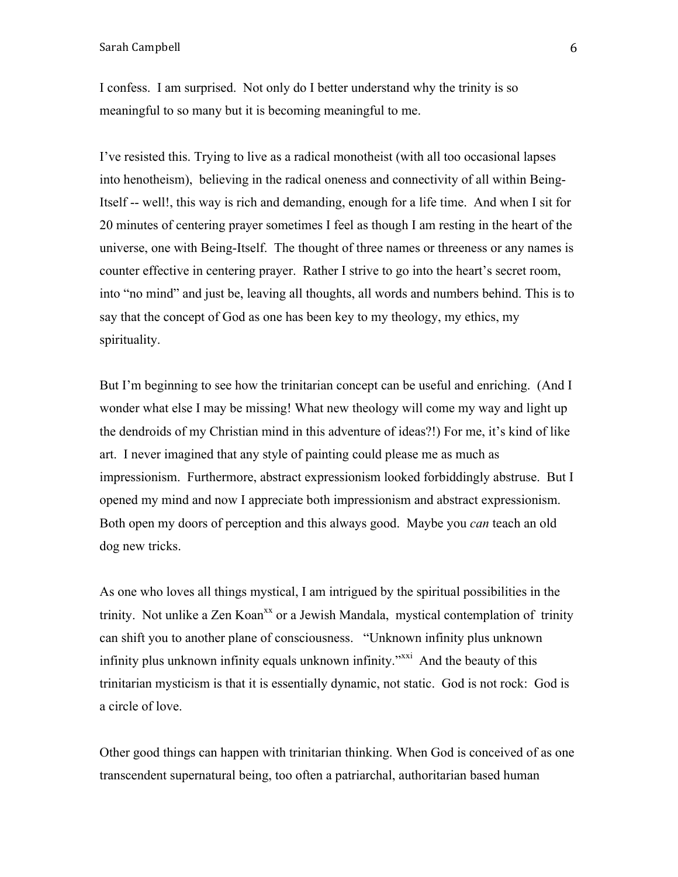I confess. I am surprised. Not only do I better understand why the trinity is so meaningful to so many but it is becoming meaningful to me.

I've resisted this. Trying to live as a radical monotheist (with all too occasional lapses into henotheism), believing in the radical oneness and connectivity of all within Being-Itself -- well!, this way is rich and demanding, enough for a life time. And when I sit for 20 minutes of centering prayer sometimes I feel as though I am resting in the heart of the universe, one with Being-Itself. The thought of three names or threeness or any names is counter effective in centering prayer. Rather I strive to go into the heart's secret room, into "no mind" and just be, leaving all thoughts, all words and numbers behind. This is to say that the concept of God as one has been key to my theology, my ethics, my spirituality.

But I'm beginning to see how the trinitarian concept can be useful and enriching. (And I wonder what else I may be missing! What new theology will come my way and light up the dendroids of my Christian mind in this adventure of ideas?!) For me, it's kind of like art. I never imagined that any style of painting could please me as much as impressionism. Furthermore, abstract expressionism looked forbiddingly abstruse. But I opened my mind and now I appreciate both impressionism and abstract expressionism. Both open my doors of perception and this always good. Maybe you *can* teach an old dog new tricks.

As one who loves all things mystical, I am intrigued by the spiritual possibilities in the trinity. Not unlike a Zen Koan<sup>xx</sup> or a Jewish Mandala, mystical contemplation of trinity can shift you to another plane of consciousness. "Unknown infinity plus unknown infinity plus unknown infinity equals unknown infinity.<sup>"xxi</sup> And the beauty of this trinitarian mysticism is that it is essentially dynamic, not static. God is not rock: God is a circle of love.

Other good things can happen with trinitarian thinking. When God is conceived of as one transcendent supernatural being, too often a patriarchal, authoritarian based human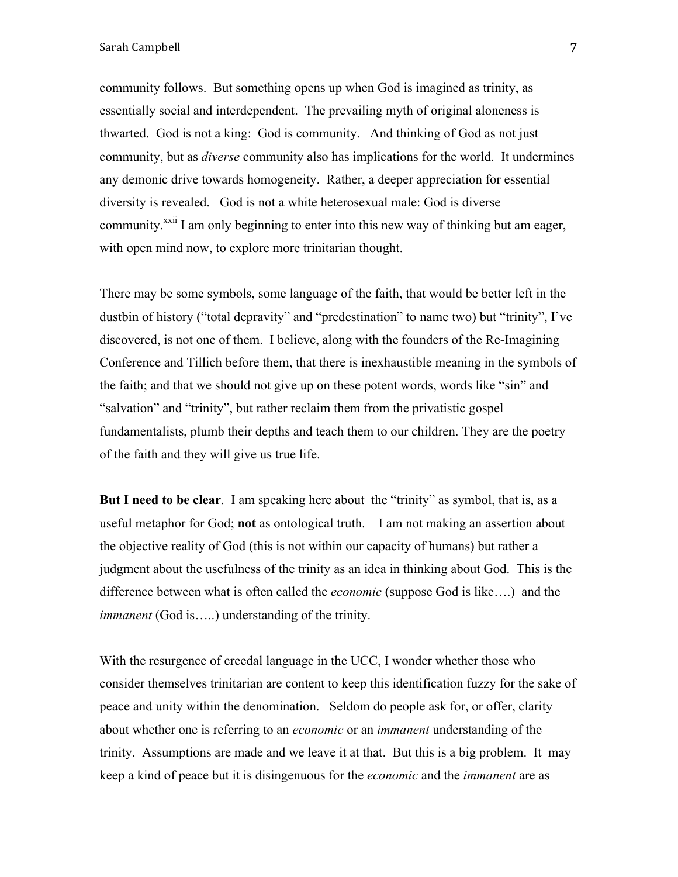community follows. But something opens up when God is imagined as trinity, as essentially social and interdependent. The prevailing myth of original aloneness is thwarted. God is not a king: God is community. And thinking of God as not just community, but as *diverse* community also has implications for the world. It undermines any demonic drive towards homogeneity. Rather, a deeper appreciation for essential diversity is revealed. God is not a white heterosexual male: God is diverse community.<sup>xxii</sup> I am only beginning to enter into this new way of thinking but am eager, with open mind now, to explore more trinitarian thought.

There may be some symbols, some language of the faith, that would be better left in the dustbin of history ("total depravity" and "predestination" to name two) but "trinity", I've discovered, is not one of them. I believe, along with the founders of the Re-Imagining Conference and Tillich before them, that there is inexhaustible meaning in the symbols of the faith; and that we should not give up on these potent words, words like "sin" and "salvation" and "trinity", but rather reclaim them from the privatistic gospel fundamentalists, plumb their depths and teach them to our children. They are the poetry of the faith and they will give us true life.

**But I need to be clear**. I am speaking here about the "trinity" as symbol, that is, as a useful metaphor for God; **not** as ontological truth. I am not making an assertion about the objective reality of God (this is not within our capacity of humans) but rather a judgment about the usefulness of the trinity as an idea in thinking about God. This is the difference between what is often called the *economic* (suppose God is like….) and the *immanent* (God is.....) understanding of the trinity.

With the resurgence of creedal language in the UCC, I wonder whether those who consider themselves trinitarian are content to keep this identification fuzzy for the sake of peace and unity within the denomination. Seldom do people ask for, or offer, clarity about whether one is referring to an *economic* or an *immanent* understanding of the trinity. Assumptions are made and we leave it at that. But this is a big problem. It may keep a kind of peace but it is disingenuous for the *economic* and the *immanent* are as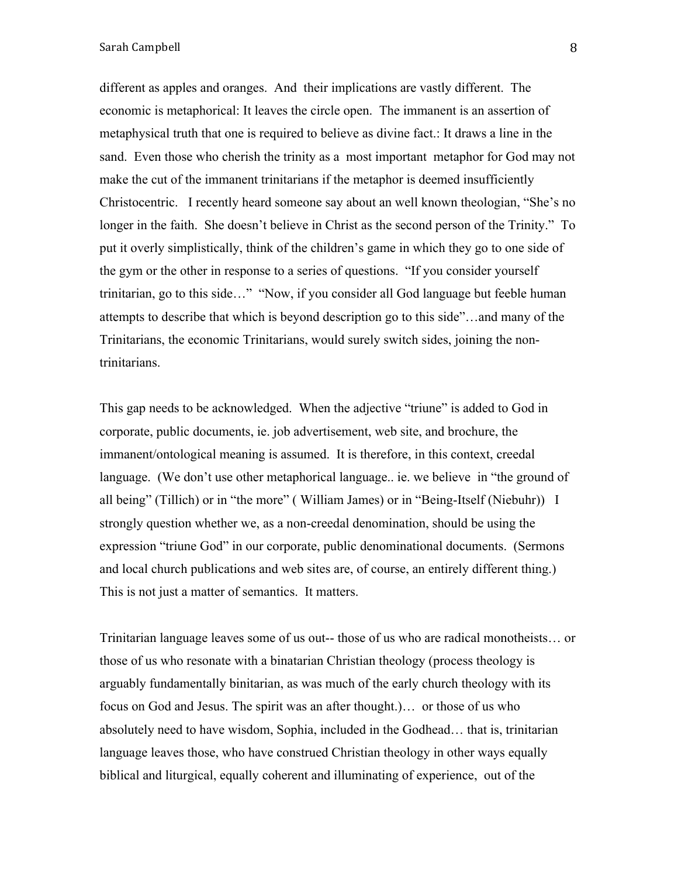#### Sarah Campbell 8 and 3 and 3 and 3 and 3 and 3 and 3 and 3 and 3 and 3 and 3 and 3 and 3 and 3 and 3 and 3 and 3 and 3 and 3 and 3 and 3 and 3 and 3 and 3 and 3 and 3 and 3 and 3 and 3 and 3 and 3 and 3 and 3 and 3 and 3 a

different as apples and oranges. And their implications are vastly different. The economic is metaphorical: It leaves the circle open. The immanent is an assertion of metaphysical truth that one is required to believe as divine fact.: It draws a line in the sand. Even those who cherish the trinity as a most important metaphor for God may not make the cut of the immanent trinitarians if the metaphor is deemed insufficiently Christocentric. I recently heard someone say about an well known theologian, "She's no longer in the faith. She doesn't believe in Christ as the second person of the Trinity." To put it overly simplistically, think of the children's game in which they go to one side of the gym or the other in response to a series of questions. "If you consider yourself trinitarian, go to this side…" "Now, if you consider all God language but feeble human attempts to describe that which is beyond description go to this side"…and many of the Trinitarians, the economic Trinitarians, would surely switch sides, joining the nontrinitarians.

This gap needs to be acknowledged. When the adjective "triune" is added to God in corporate, public documents, ie. job advertisement, web site, and brochure, the immanent/ontological meaning is assumed. It is therefore, in this context, creedal language. (We don't use other metaphorical language.. ie. we believe in "the ground of all being" (Tillich) or in "the more" ( William James) or in "Being-Itself (Niebuhr)) I strongly question whether we, as a non-creedal denomination, should be using the expression "triune God" in our corporate, public denominational documents. (Sermons and local church publications and web sites are, of course, an entirely different thing.) This is not just a matter of semantics. It matters.

Trinitarian language leaves some of us out-- those of us who are radical monotheists… or those of us who resonate with a binatarian Christian theology (process theology is arguably fundamentally binitarian, as was much of the early church theology with its focus on God and Jesus. The spirit was an after thought.)… or those of us who absolutely need to have wisdom, Sophia, included in the Godhead… that is, trinitarian language leaves those, who have construed Christian theology in other ways equally biblical and liturgical, equally coherent and illuminating of experience, out of the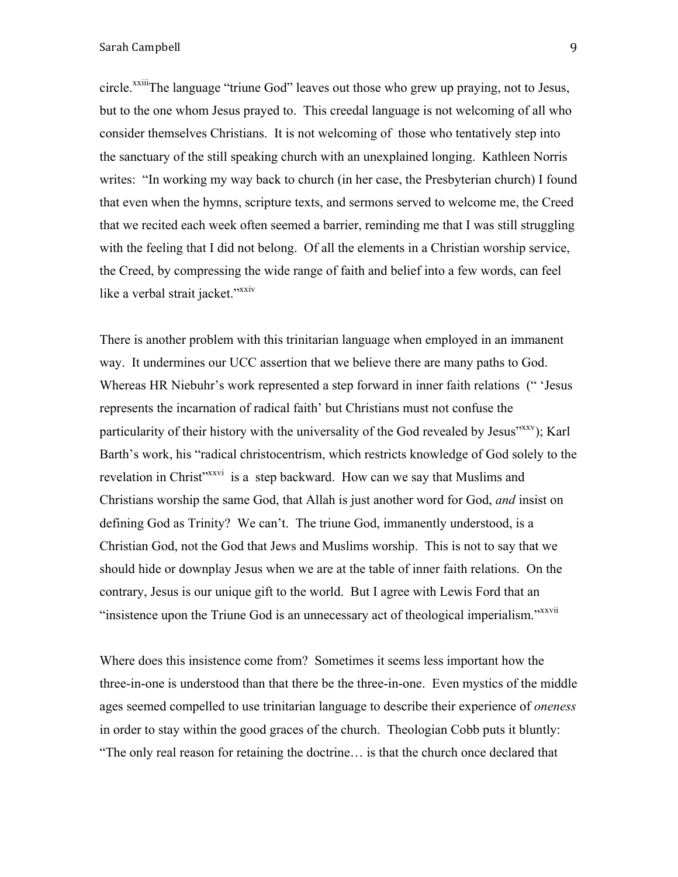circle.<sup>xxiii</sup>The language "triune God" leaves out those who grew up praying, not to Jesus, but to the one whom Jesus prayed to. This creedal language is not welcoming of all who consider themselves Christians. It is not welcoming of those who tentatively step into the sanctuary of the still speaking church with an unexplained longing. Kathleen Norris writes: "In working my way back to church (in her case, the Presbyterian church) I found that even when the hymns, scripture texts, and sermons served to welcome me, the Creed that we recited each week often seemed a barrier, reminding me that I was still struggling with the feeling that I did not belong. Of all the elements in a Christian worship service, the Creed, by compressing the wide range of faith and belief into a few words, can feel like a verbal strait jacket."<sup>xxiv</sup>

There is another problem with this trinitarian language when employed in an immanent way. It undermines our UCC assertion that we believe there are many paths to God. Whereas HR Niebuhr's work represented a step forward in inner faith relations (" 'Jesus represents the incarnation of radical faith' but Christians must not confuse the particularity of their history with the universality of the God revealed by Jesus<sup>"xxv</sup>); Karl Barth's work, his "radical christocentrism, which restricts knowledge of God solely to the revelation in Christ<sup>"xxvi</sup> is a step backward. How can we say that Muslims and Christians worship the same God, that Allah is just another word for God, *and* insist on defining God as Trinity? We can't. The triune God, immanently understood, is a Christian God, not the God that Jews and Muslims worship. This is not to say that we should hide or downplay Jesus when we are at the table of inner faith relations. On the contrary, Jesus is our unique gift to the world. But I agree with Lewis Ford that an "insistence upon the Triune God is an unnecessary act of theological imperialism."<sup>xxvii</sup>

Where does this insistence come from? Sometimes it seems less important how the three-in-one is understood than that there be the three-in-one. Even mystics of the middle ages seemed compelled to use trinitarian language to describe their experience of *oneness*  in order to stay within the good graces of the church. Theologian Cobb puts it bluntly: "The only real reason for retaining the doctrine… is that the church once declared that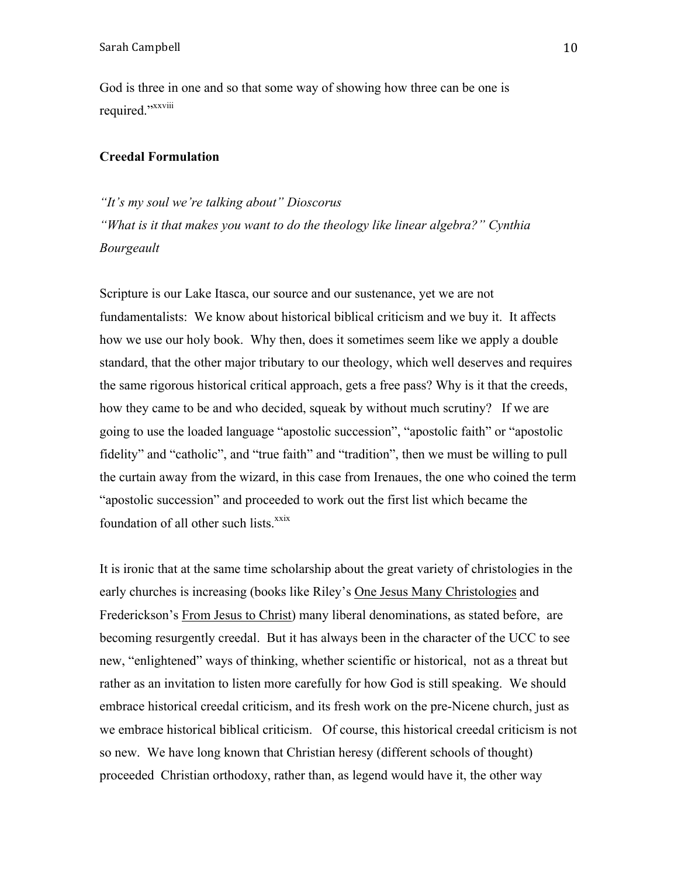God is three in one and so that some way of showing how three can be one is required."xxviii

# **Creedal Formulation**

# *"It's my soul we're talking about" Dioscorus*

*"What is it that makes you want to do the theology like linear algebra?" Cynthia Bourgeault*

Scripture is our Lake Itasca, our source and our sustenance, yet we are not fundamentalists: We know about historical biblical criticism and we buy it. It affects how we use our holy book. Why then, does it sometimes seem like we apply a double standard, that the other major tributary to our theology, which well deserves and requires the same rigorous historical critical approach, gets a free pass? Why is it that the creeds, how they came to be and who decided, squeak by without much scrutiny? If we are going to use the loaded language "apostolic succession", "apostolic faith" or "apostolic fidelity" and "catholic", and "true faith" and "tradition", then we must be willing to pull the curtain away from the wizard, in this case from Irenaues, the one who coined the term "apostolic succession" and proceeded to work out the first list which became the foundation of all other such lists.<sup>xxix</sup>

It is ironic that at the same time scholarship about the great variety of christologies in the early churches is increasing (books like Riley's One Jesus Many Christologies and Frederickson's From Jesus to Christ) many liberal denominations, as stated before, are becoming resurgently creedal. But it has always been in the character of the UCC to see new, "enlightened" ways of thinking, whether scientific or historical, not as a threat but rather as an invitation to listen more carefully for how God is still speaking. We should embrace historical creedal criticism, and its fresh work on the pre-Nicene church, just as we embrace historical biblical criticism. Of course, this historical creedal criticism is not so new. We have long known that Christian heresy (different schools of thought) proceeded Christian orthodoxy, rather than, as legend would have it, the other way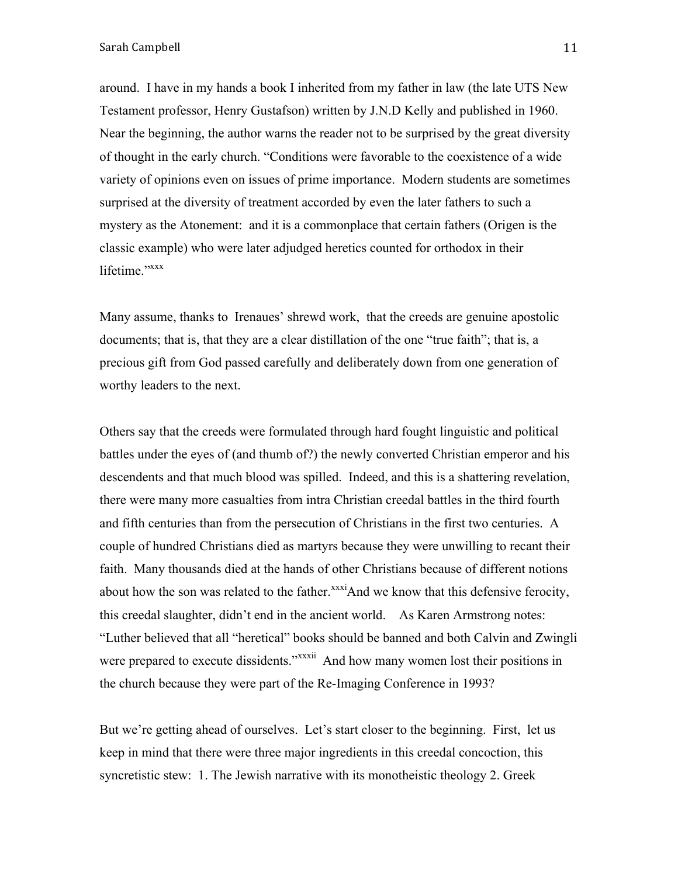around. I have in my hands a book I inherited from my father in law (the late UTS New Testament professor, Henry Gustafson) written by J.N.D Kelly and published in 1960. Near the beginning, the author warns the reader not to be surprised by the great diversity of thought in the early church. "Conditions were favorable to the coexistence of a wide variety of opinions even on issues of prime importance. Modern students are sometimes surprised at the diversity of treatment accorded by even the later fathers to such a mystery as the Atonement: and it is a commonplace that certain fathers (Origen is the classic example) who were later adjudged heretics counted for orthodox in their lifetime."<sup>xxxx</sup>

Many assume, thanks to Irenaues' shrewd work, that the creeds are genuine apostolic documents; that is, that they are a clear distillation of the one "true faith"; that is, a precious gift from God passed carefully and deliberately down from one generation of worthy leaders to the next.

Others say that the creeds were formulated through hard fought linguistic and political battles under the eyes of (and thumb of?) the newly converted Christian emperor and his descendents and that much blood was spilled. Indeed, and this is a shattering revelation, there were many more casualties from intra Christian creedal battles in the third fourth and fifth centuries than from the persecution of Christians in the first two centuries. A couple of hundred Christians died as martyrs because they were unwilling to recant their faith. Many thousands died at the hands of other Christians because of different notions about how the son was related to the father. $\frac{x}{x}$ And we know that this defensive ferocity, this creedal slaughter, didn't end in the ancient world. As Karen Armstrong notes: "Luther believed that all "heretical" books should be banned and both Calvin and Zwingli were prepared to execute dissidents."<sup>xxxii</sup> And how many women lost their positions in the church because they were part of the Re-Imaging Conference in 1993?

But we're getting ahead of ourselves. Let's start closer to the beginning. First, let us keep in mind that there were three major ingredients in this creedal concoction, this syncretistic stew: 1. The Jewish narrative with its monotheistic theology 2. Greek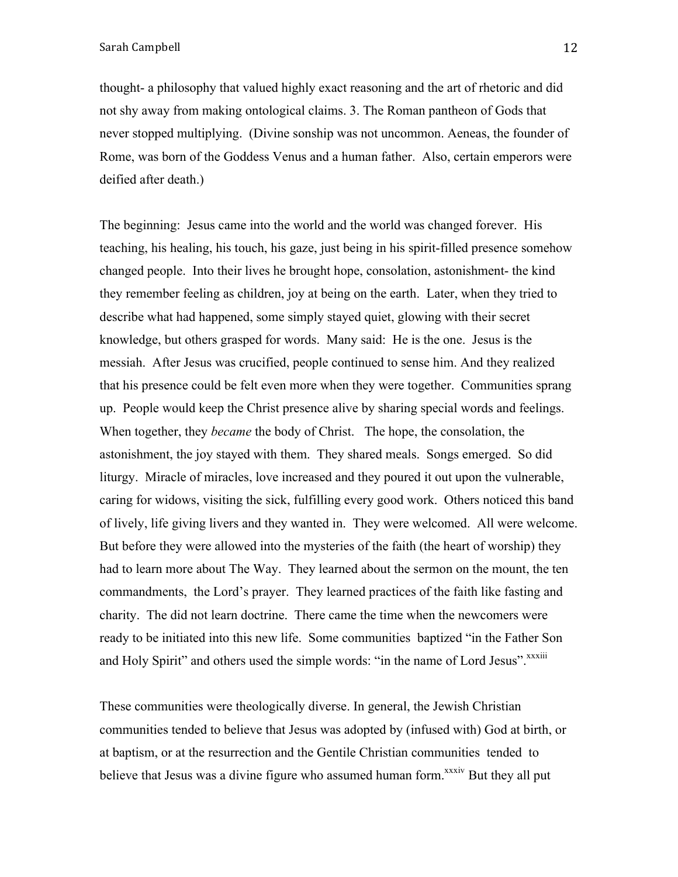thought- a philosophy that valued highly exact reasoning and the art of rhetoric and did not shy away from making ontological claims. 3. The Roman pantheon of Gods that never stopped multiplying. (Divine sonship was not uncommon. Aeneas, the founder of Rome, was born of the Goddess Venus and a human father. Also, certain emperors were deified after death.)

The beginning: Jesus came into the world and the world was changed forever. His teaching, his healing, his touch, his gaze, just being in his spirit-filled presence somehow changed people. Into their lives he brought hope, consolation, astonishment- the kind they remember feeling as children, joy at being on the earth. Later, when they tried to describe what had happened, some simply stayed quiet, glowing with their secret knowledge, but others grasped for words. Many said: He is the one. Jesus is the messiah. After Jesus was crucified, people continued to sense him. And they realized that his presence could be felt even more when they were together. Communities sprang up. People would keep the Christ presence alive by sharing special words and feelings. When together, they *became* the body of Christ. The hope, the consolation, the astonishment, the joy stayed with them. They shared meals. Songs emerged. So did liturgy. Miracle of miracles, love increased and they poured it out upon the vulnerable, caring for widows, visiting the sick, fulfilling every good work. Others noticed this band of lively, life giving livers and they wanted in. They were welcomed. All were welcome. But before they were allowed into the mysteries of the faith (the heart of worship) they had to learn more about The Way. They learned about the sermon on the mount, the ten commandments, the Lord's prayer. They learned practices of the faith like fasting and charity. The did not learn doctrine. There came the time when the newcomers were ready to be initiated into this new life. Some communities baptized "in the Father Son and Holy Spirit" and others used the simple words: "in the name of Lord Jesus". xxxiii

These communities were theologically diverse. In general, the Jewish Christian communities tended to believe that Jesus was adopted by (infused with) God at birth, or at baptism, or at the resurrection and the Gentile Christian communities tended to believe that Jesus was a divine figure who assumed human form.<sup>xxxiv</sup> But they all put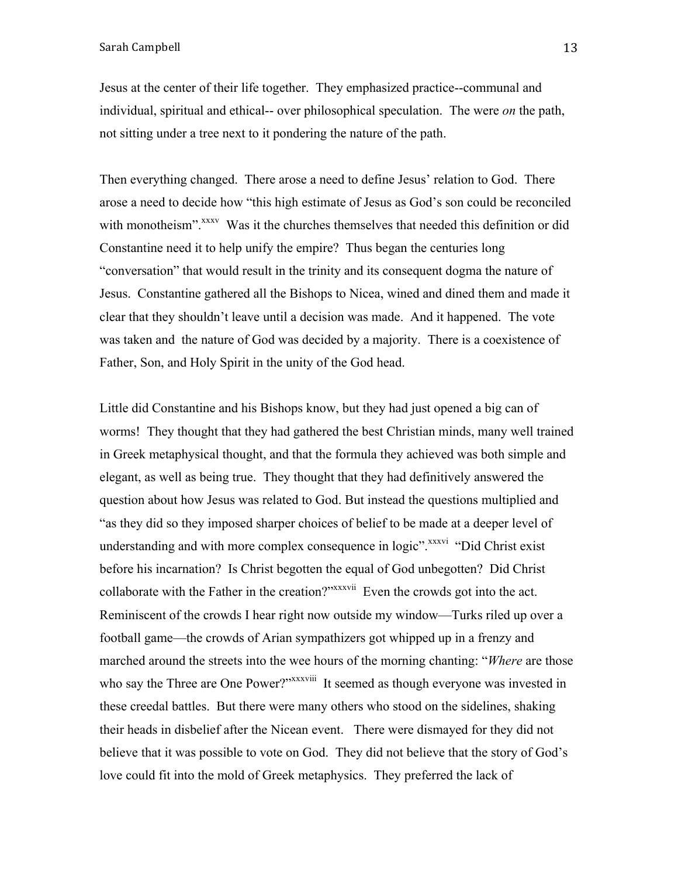Jesus at the center of their life together. They emphasized practice--communal and individual, spiritual and ethical-- over philosophical speculation. The were *on* the path, not sitting under a tree next to it pondering the nature of the path.

Then everything changed. There arose a need to define Jesus' relation to God. There arose a need to decide how "this high estimate of Jesus as God's son could be reconciled with monotheism".<sup>xxxv</sup> Was it the churches themselves that needed this definition or did Constantine need it to help unify the empire? Thus began the centuries long "conversation" that would result in the trinity and its consequent dogma the nature of Jesus. Constantine gathered all the Bishops to Nicea, wined and dined them and made it clear that they shouldn't leave until a decision was made. And it happened. The vote was taken and the nature of God was decided by a majority. There is a coexistence of Father, Son, and Holy Spirit in the unity of the God head.

Little did Constantine and his Bishops know, but they had just opened a big can of worms! They thought that they had gathered the best Christian minds, many well trained in Greek metaphysical thought, and that the formula they achieved was both simple and elegant, as well as being true. They thought that they had definitively answered the question about how Jesus was related to God. But instead the questions multiplied and "as they did so they imposed sharper choices of belief to be made at a deeper level of understanding and with more complex consequence in logic".<sup>xxxvi</sup> "Did Christ exist" before his incarnation? Is Christ begotten the equal of God unbegotten? Did Christ collaborate with the Father in the creation?"<sup>xxxxvii</sup> Even the crowds got into the act. Reminiscent of the crowds I hear right now outside my window—Turks riled up over a football game—the crowds of Arian sympathizers got whipped up in a frenzy and marched around the streets into the wee hours of the morning chanting: "*Where* are those who say the Three are One Power?"<sup>xxxviii</sup> It seemed as though everyone was invested in these creedal battles. But there were many others who stood on the sidelines, shaking their heads in disbelief after the Nicean event. There were dismayed for they did not believe that it was possible to vote on God. They did not believe that the story of God's love could fit into the mold of Greek metaphysics. They preferred the lack of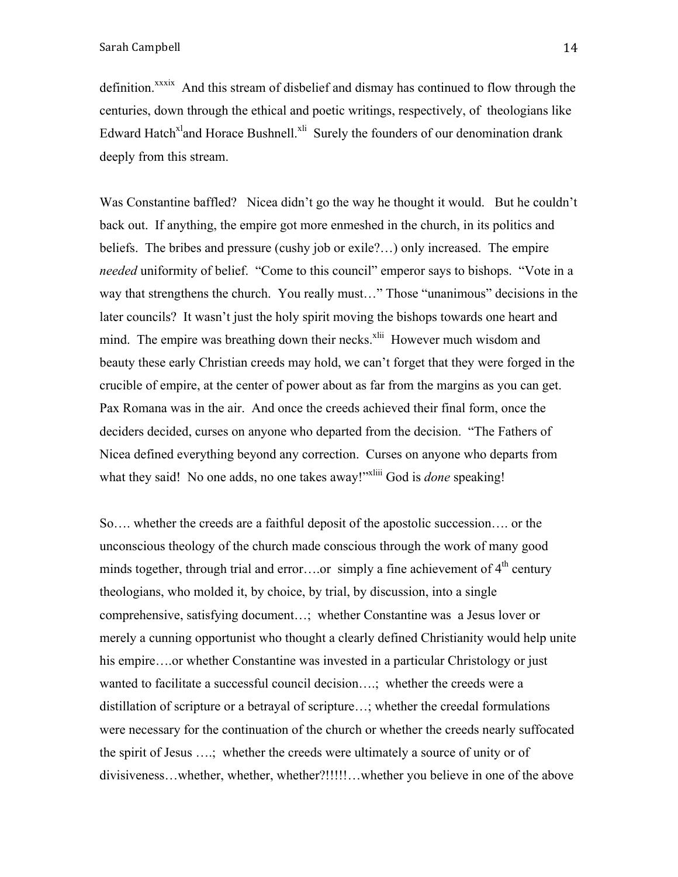definition.<sup>xxxix</sup> And this stream of disbelief and dismay has continued to flow through the centuries, down through the ethical and poetic writings, respectively, of theologians like Edward Hatch<sup>xl</sup>and Horace Bushnell.<sup>xli</sup> Surely the founders of our denomination drank deeply from this stream.

Was Constantine baffled? Nicea didn't go the way he thought it would. But he couldn't back out. If anything, the empire got more enmeshed in the church, in its politics and beliefs. The bribes and pressure (cushy job or exile?…) only increased. The empire *needed* uniformity of belief. "Come to this council" emperor says to bishops. "Vote in a way that strengthens the church. You really must…" Those "unanimous" decisions in the later councils? It wasn't just the holy spirit moving the bishops towards one heart and mind. The empire was breathing down their necks.<sup>xlii</sup> However much wisdom and beauty these early Christian creeds may hold, we can't forget that they were forged in the crucible of empire, at the center of power about as far from the margins as you can get. Pax Romana was in the air. And once the creeds achieved their final form, once the deciders decided, curses on anyone who departed from the decision. "The Fathers of Nicea defined everything beyond any correction. Curses on anyone who departs from what they said! No one adds, no one takes away!"<sup>xliii</sup> God is *done* speaking!

So…. whether the creeds are a faithful deposit of the apostolic succession…. or the unconscious theology of the church made conscious through the work of many good minds together, through trial and error....or simply a fine achievement of  $4<sup>th</sup>$  century theologians, who molded it, by choice, by trial, by discussion, into a single comprehensive, satisfying document…; whether Constantine was a Jesus lover or merely a cunning opportunist who thought a clearly defined Christianity would help unite his empire….or whether Constantine was invested in a particular Christology or just wanted to facilitate a successful council decision….; whether the creeds were a distillation of scripture or a betrayal of scripture…; whether the creedal formulations were necessary for the continuation of the church or whether the creeds nearly suffocated the spirit of Jesus ….; whether the creeds were ultimately a source of unity or of divisiveness…whether, whether, whether?!!!!!…whether you believe in one of the above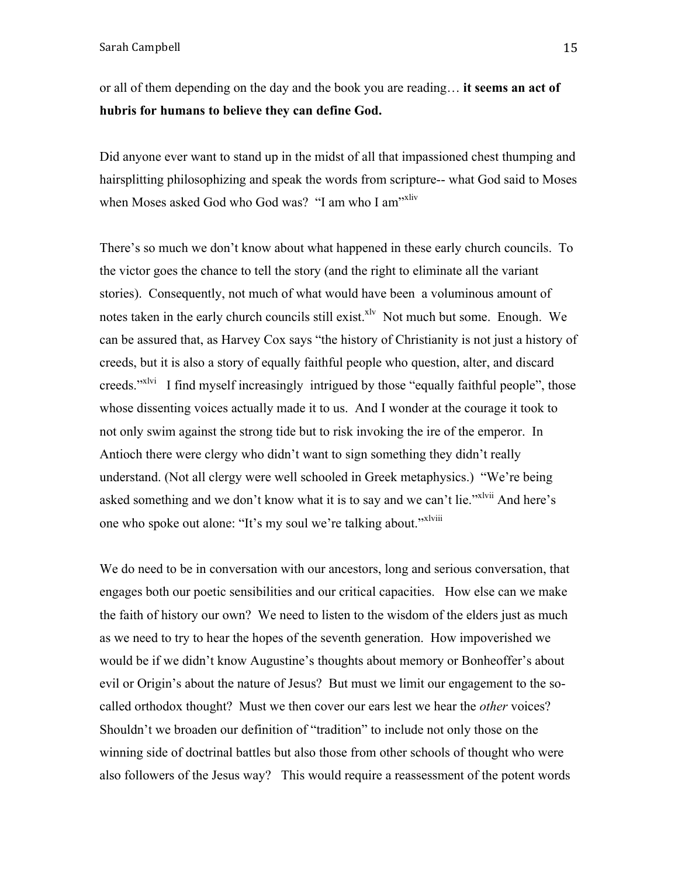or all of them depending on the day and the book you are reading… **it seems an act of hubris for humans to believe they can define God.**

Did anyone ever want to stand up in the midst of all that impassioned chest thumping and hairsplitting philosophizing and speak the words from scripture-- what God said to Moses when Moses asked God who God was? "I am who I am<sup>"xliv</sup>

There's so much we don't know about what happened in these early church councils. To the victor goes the chance to tell the story (and the right to eliminate all the variant stories). Consequently, not much of what would have been a voluminous amount of notes taken in the early church councils still exist. $x^{1v}$  Not much but some. Enough. We can be assured that, as Harvey Cox says "the history of Christianity is not just a history of creeds, but it is also a story of equally faithful people who question, alter, and discard creeds."<sup>xlvi</sup> I find myself increasingly intrigued by those "equally faithful people", those whose dissenting voices actually made it to us. And I wonder at the courage it took to not only swim against the strong tide but to risk invoking the ire of the emperor. In Antioch there were clergy who didn't want to sign something they didn't really understand. (Not all clergy were well schooled in Greek metaphysics.) "We're being asked something and we don't know what it is to say and we can't lie."<sup>xlvii</sup> And here's one who spoke out alone: "It's my soul we're talking about."<sup>xlviii</sup>

We do need to be in conversation with our ancestors, long and serious conversation, that engages both our poetic sensibilities and our critical capacities. How else can we make the faith of history our own? We need to listen to the wisdom of the elders just as much as we need to try to hear the hopes of the seventh generation. How impoverished we would be if we didn't know Augustine's thoughts about memory or Bonheoffer's about evil or Origin's about the nature of Jesus? But must we limit our engagement to the socalled orthodox thought? Must we then cover our ears lest we hear the *other* voices? Shouldn't we broaden our definition of "tradition" to include not only those on the winning side of doctrinal battles but also those from other schools of thought who were also followers of the Jesus way? This would require a reassessment of the potent words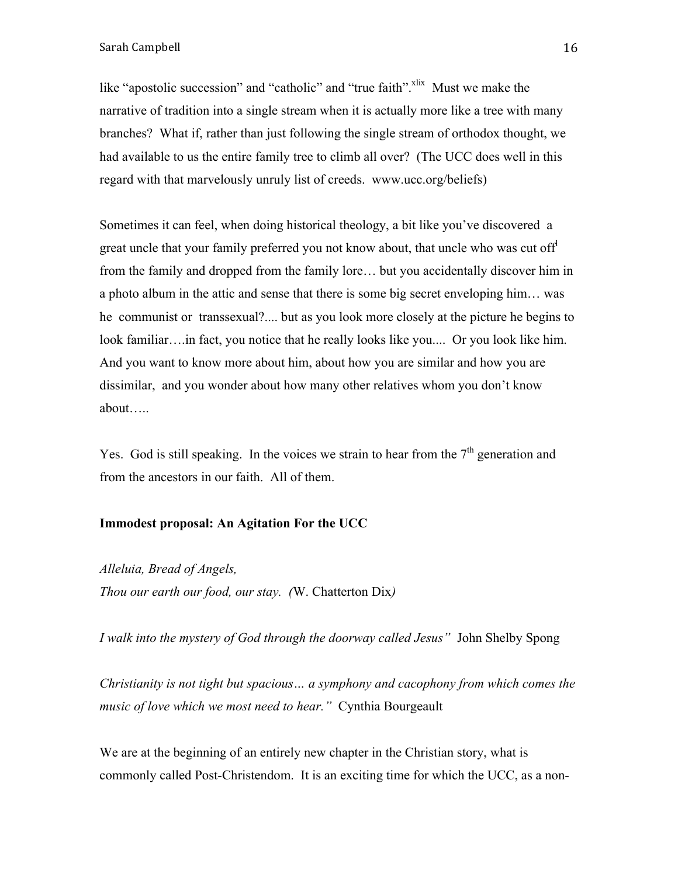like "apostolic succession" and "catholic" and "true faith". $x$ lix Must we make the narrative of tradition into a single stream when it is actually more like a tree with many branches? What if, rather than just following the single stream of orthodox thought, we had available to us the entire family tree to climb all over? (The UCC does well in this regard with that marvelously unruly list of creeds. www.ucc.org/beliefs)

Sometimes it can feel, when doing historical theology, a bit like you've discovered a great uncle that your family preferred you not know about, that uncle who was cut off from the family and dropped from the family lore… but you accidentally discover him in a photo album in the attic and sense that there is some big secret enveloping him… was he communist or transsexual?.... but as you look more closely at the picture he begins to look familiar….in fact, you notice that he really looks like you.... Or you look like him. And you want to know more about him, about how you are similar and how you are dissimilar, and you wonder about how many other relatives whom you don't know about…..

Yes. God is still speaking. In the voices we strain to hear from the  $7<sup>th</sup>$  generation and from the ancestors in our faith. All of them.

# **Immodest proposal: An Agitation For the UCC**

*Alleluia, Bread of Angels,*

*Thou our earth our food, our stay. (*W. Chatterton Dix*)*

*I walk into the mystery of God through the doorway called Jesus"* John Shelby Spong

*Christianity is not tight but spacious… a symphony and cacophony from which comes the music of love which we most need to hear."* Cynthia Bourgeault

We are at the beginning of an entirely new chapter in the Christian story, what is commonly called Post-Christendom. It is an exciting time for which the UCC, as a non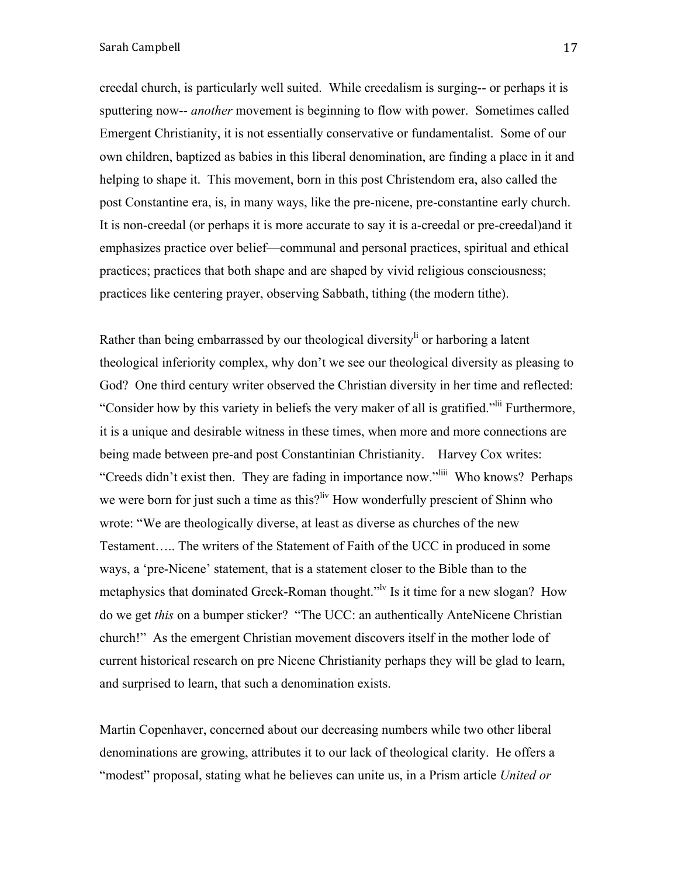creedal church, is particularly well suited. While creedalism is surging-- or perhaps it is sputtering now-- *another* movement is beginning to flow with power. Sometimes called Emergent Christianity, it is not essentially conservative or fundamentalist. Some of our own children, baptized as babies in this liberal denomination, are finding a place in it and helping to shape it. This movement, born in this post Christendom era, also called the post Constantine era, is, in many ways, like the pre-nicene, pre-constantine early church. It is non-creedal (or perhaps it is more accurate to say it is a-creedal or pre-creedal)and it emphasizes practice over belief—communal and personal practices, spiritual and ethical practices; practices that both shape and are shaped by vivid religious consciousness; practices like centering prayer, observing Sabbath, tithing (the modern tithe).

Rather than being embarrassed by our theological diversity<sup>li</sup> or harboring a latent theological inferiority complex, why don't we see our theological diversity as pleasing to God? One third century writer observed the Christian diversity in her time and reflected: "Consider how by this variety in beliefs the very maker of all is gratified."lii Furthermore, it is a unique and desirable witness in these times, when more and more connections are being made between pre-and post Constantinian Christianity. Harvey Cox writes: "Creeds didn't exist then. They are fading in importance now."liii Who knows? Perhaps we were born for just such a time as this?<sup>liv</sup> How wonderfully prescient of Shinn who wrote: "We are theologically diverse, at least as diverse as churches of the new Testament….. The writers of the Statement of Faith of the UCC in produced in some ways, a 'pre-Nicene' statement, that is a statement closer to the Bible than to the metaphysics that dominated Greek-Roman thought."<sup>Iv</sup> Is it time for a new slogan? How do we get *this* on a bumper sticker? "The UCC: an authentically AnteNicene Christian church!" As the emergent Christian movement discovers itself in the mother lode of current historical research on pre Nicene Christianity perhaps they will be glad to learn, and surprised to learn, that such a denomination exists.

Martin Copenhaver, concerned about our decreasing numbers while two other liberal denominations are growing, attributes it to our lack of theological clarity. He offers a "modest" proposal, stating what he believes can unite us, in a Prism article *United or*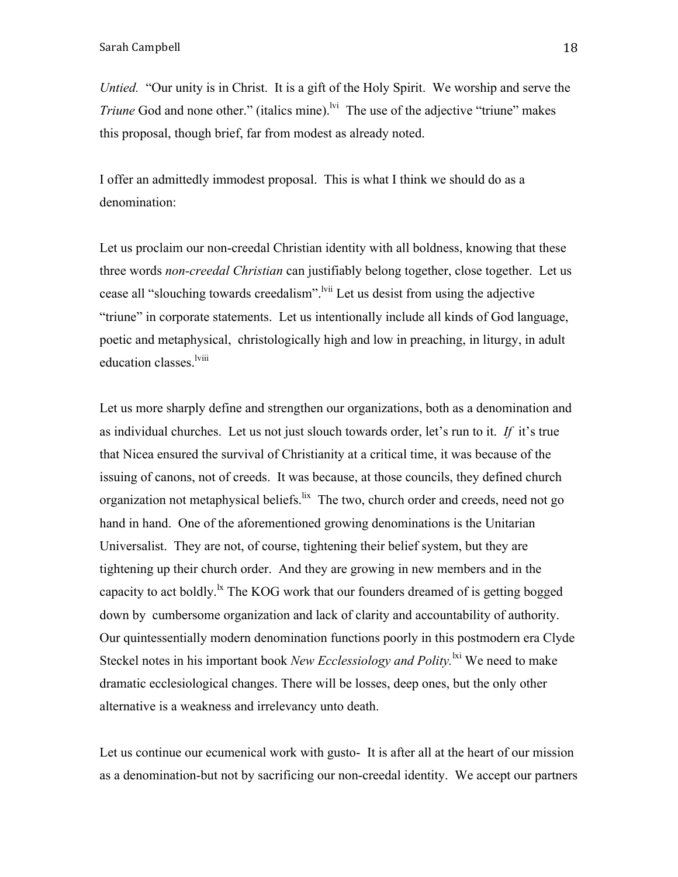*Untied.* "Our unity is in Christ. It is a gift of the Holy Spirit. We worship and serve the *Triune* God and none other." (italics mine).<sup>Ivi</sup> The use of the adjective "triune" makes this proposal, though brief, far from modest as already noted.

I offer an admittedly immodest proposal. This is what I think we should do as a denomination:

Let us proclaim our non-creedal Christian identity with all boldness, knowing that these three words *non-creedal Christian* can justifiably belong together, close together. Let us cease all "slouching towards creedalism". <sup>Ivii</sup> Let us desist from using the adjective "triune" in corporate statements. Let us intentionally include all kinds of God language, poetic and metaphysical, christologically high and low in preaching, in liturgy, in adult education classes.<sup>lviii</sup>

Let us more sharply define and strengthen our organizations, both as a denomination and as individual churches. Let us not just slouch towards order, let's run to it. *If* it's true that Nicea ensured the survival of Christianity at a critical time, it was because of the issuing of canons, not of creeds. It was because, at those councils, they defined church organization not metaphysical beliefs. <sup>lix</sup> The two, church order and creeds, need not go hand in hand. One of the aforementioned growing denominations is the Unitarian Universalist. They are not, of course, tightening their belief system, but they are tightening up their church order. And they are growing in new members and in the capacity to act boldly.<sup>1x</sup> The KOG work that our founders dreamed of is getting bogged down by cumbersome organization and lack of clarity and accountability of authority. Our quintessentially modern denomination functions poorly in this postmodern era Clyde Steckel notes in his important book *New Ecclessiology and Polity*.<sup>lxi</sup> We need to make dramatic ecclesiological changes. There will be losses, deep ones, but the only other alternative is a weakness and irrelevancy unto death.

Let us continue our ecumenical work with gusto- It is after all at the heart of our mission as a denomination-but not by sacrificing our non-creedal identity. We accept our partners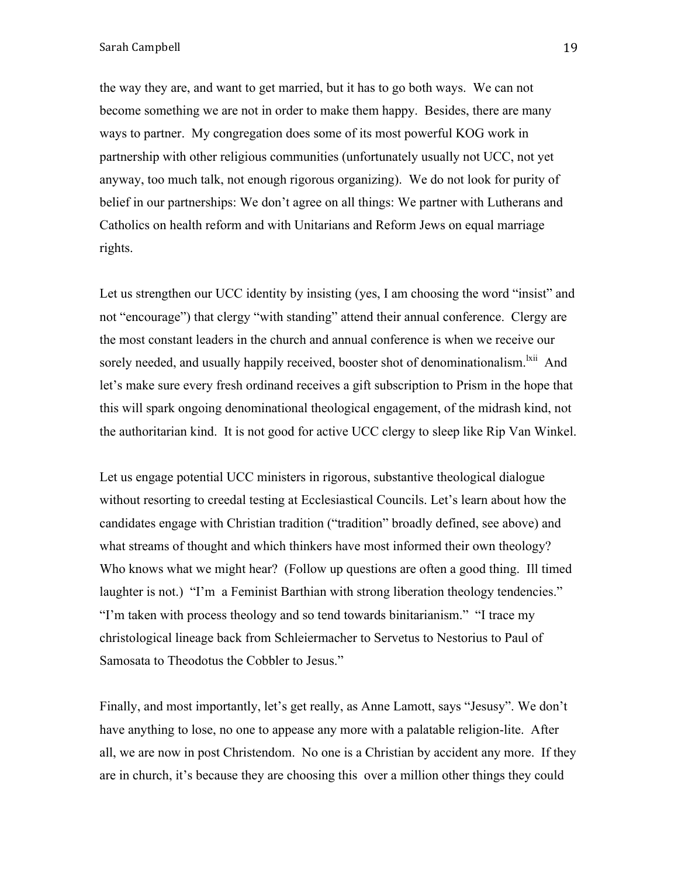the way they are, and want to get married, but it has to go both ways. We can not become something we are not in order to make them happy. Besides, there are many ways to partner. My congregation does some of its most powerful KOG work in partnership with other religious communities (unfortunately usually not UCC, not yet anyway, too much talk, not enough rigorous organizing). We do not look for purity of belief in our partnerships: We don't agree on all things: We partner with Lutherans and Catholics on health reform and with Unitarians and Reform Jews on equal marriage rights.

Let us strengthen our UCC identity by insisting (yes, I am choosing the word "insist" and not "encourage") that clergy "with standing" attend their annual conference. Clergy are the most constant leaders in the church and annual conference is when we receive our sorely needed, and usually happily received, booster shot of denominationalism.<sup>1xii</sup> And let's make sure every fresh ordinand receives a gift subscription to Prism in the hope that this will spark ongoing denominational theological engagement, of the midrash kind, not the authoritarian kind. It is not good for active UCC clergy to sleep like Rip Van Winkel.

Let us engage potential UCC ministers in rigorous, substantive theological dialogue without resorting to creedal testing at Ecclesiastical Councils. Let's learn about how the candidates engage with Christian tradition ("tradition" broadly defined, see above) and what streams of thought and which thinkers have most informed their own theology? Who knows what we might hear? (Follow up questions are often a good thing. Ill timed laughter is not.) "I'm a Feminist Barthian with strong liberation theology tendencies." "I'm taken with process theology and so tend towards binitarianism." "I trace my christological lineage back from Schleiermacher to Servetus to Nestorius to Paul of Samosata to Theodotus the Cobbler to Jesus."

Finally, and most importantly, let's get really, as Anne Lamott, says "Jesusy". We don't have anything to lose, no one to appease any more with a palatable religion-lite. After all, we are now in post Christendom. No one is a Christian by accident any more. If they are in church, it's because they are choosing this over a million other things they could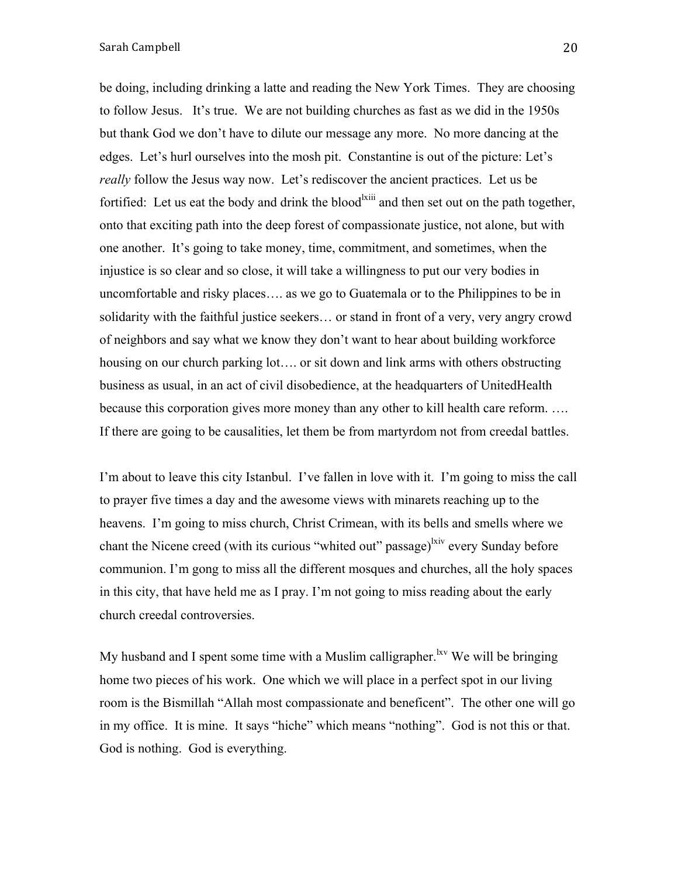be doing, including drinking a latte and reading the New York Times. They are choosing to follow Jesus. It's true. We are not building churches as fast as we did in the 1950s but thank God we don't have to dilute our message any more. No more dancing at the edges. Let's hurl ourselves into the mosh pit. Constantine is out of the picture: Let's *really* follow the Jesus way now. Let's rediscover the ancient practices. Let us be fortified: Let us eat the body and drink the blood<sup>1xiii</sup> and then set out on the path together, onto that exciting path into the deep forest of compassionate justice, not alone, but with one another. It's going to take money, time, commitment, and sometimes, when the injustice is so clear and so close, it will take a willingness to put our very bodies in uncomfortable and risky places…. as we go to Guatemala or to the Philippines to be in solidarity with the faithful justice seekers… or stand in front of a very, very angry crowd of neighbors and say what we know they don't want to hear about building workforce housing on our church parking lot…. or sit down and link arms with others obstructing business as usual, in an act of civil disobedience, at the headquarters of UnitedHealth because this corporation gives more money than any other to kill health care reform. …. If there are going to be causalities, let them be from martyrdom not from creedal battles.

I'm about to leave this city Istanbul. I've fallen in love with it. I'm going to miss the call to prayer five times a day and the awesome views with minarets reaching up to the heavens. I'm going to miss church, Christ Crimean, with its bells and smells where we chant the Nicene creed (with its curious "whited out" passage)<sup>lxiv</sup> every Sunday before communion. I'm gong to miss all the different mosques and churches, all the holy spaces in this city, that have held me as I pray. I'm not going to miss reading about the early church creedal controversies.

My husband and I spent some time with a Muslim calligrapher.<sup> $kv$ </sup> We will be bringing home two pieces of his work. One which we will place in a perfect spot in our living room is the Bismillah "Allah most compassionate and beneficent". The other one will go in my office. It is mine. It says "hiche" which means "nothing". God is not this or that. God is nothing. God is everything.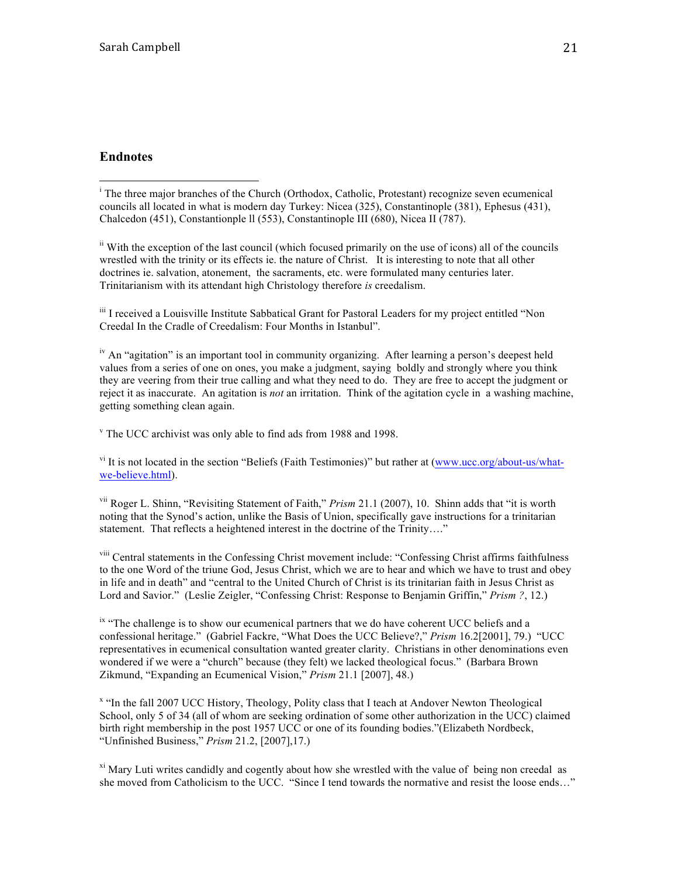### **Endnotes**

 <sup>i</sup> The three major branches of the Church (Orthodox, Catholic, Protestant) recognize seven ecumenical councils all located in what is modern day Turkey: Nicea (325), Constantinople (381), Ephesus (431), Chalcedon (451), Constantionple ll (553), Constantinople III (680), Nicea II (787).

ii With the exception of the last council (which focused primarily on the use of icons) all of the councils wrestled with the trinity or its effects ie. the nature of Christ. It is interesting to note that all other doctrines ie. salvation, atonement, the sacraments, etc. were formulated many centuries later. Trinitarianism with its attendant high Christology therefore *is* creedalism.

iii I received a Louisville Institute Sabbatical Grant for Pastoral Leaders for my project entitled "Non Creedal In the Cradle of Creedalism: Four Months in Istanbul".

<sup>iv</sup> An "agitation" is an important tool in community organizing. After learning a person's deepest held values from a series of one on ones, you make a judgment, saying boldly and strongly where you think they are veering from their true calling and what they need to do. They are free to accept the judgment or reject it as inaccurate. An agitation is *not* an irritation. Think of the agitation cycle in a washing machine, getting something clean again.

<sup>v</sup> The UCC archivist was only able to find ads from 1988 and 1998.

 $v<sup>i</sup>$  It is not located in the section "Beliefs (Faith Testimonies)" but rather at (www.ucc.org/about-us/whatwe-believe.html).

vii Roger L. Shinn, "Revisiting Statement of Faith," *Prism* 21.1 (2007), 10. Shinn adds that "it is worth noting that the Synod's action, unlike the Basis of Union, specifically gave instructions for a trinitarian statement. That reflects a heightened interest in the doctrine of the Trinity...."

viii Central statements in the Confessing Christ movement include: "Confessing Christ affirms faithfulness to the one Word of the triune God, Jesus Christ, which we are to hear and which we have to trust and obey in life and in death" and "central to the United Church of Christ is its trinitarian faith in Jesus Christ as Lord and Savior." (Leslie Zeigler, "Confessing Christ: Response to Benjamin Griffin," *Prism ?*, 12.)

<sup>ix</sup> "The challenge is to show our ecumenical partners that we do have coherent UCC beliefs and a confessional heritage." (Gabriel Fackre, "What Does the UCC Believe?," *Prism* 16.2[2001], 79.) "UCC representatives in ecumenical consultation wanted greater clarity. Christians in other denominations even wondered if we were a "church" because (they felt) we lacked theological focus." (Barbara Brown Zikmund, "Expanding an Ecumenical Vision," *Prism* 21.1 [2007], 48.)

<sup>x</sup> "In the fall 2007 UCC History, Theology, Polity class that I teach at Andover Newton Theological School, only 5 of 34 (all of whom are seeking ordination of some other authorization in the UCC) claimed birth right membership in the post 1957 UCC or one of its founding bodies."(Elizabeth Nordbeck, "Unfinished Business," *Prism* 21.2, [2007],17.)

<sup>xi</sup> Mary Luti writes candidly and cogently about how she wrestled with the value of being non creedal as she moved from Catholicism to the UCC. "Since I tend towards the normative and resist the loose ends…"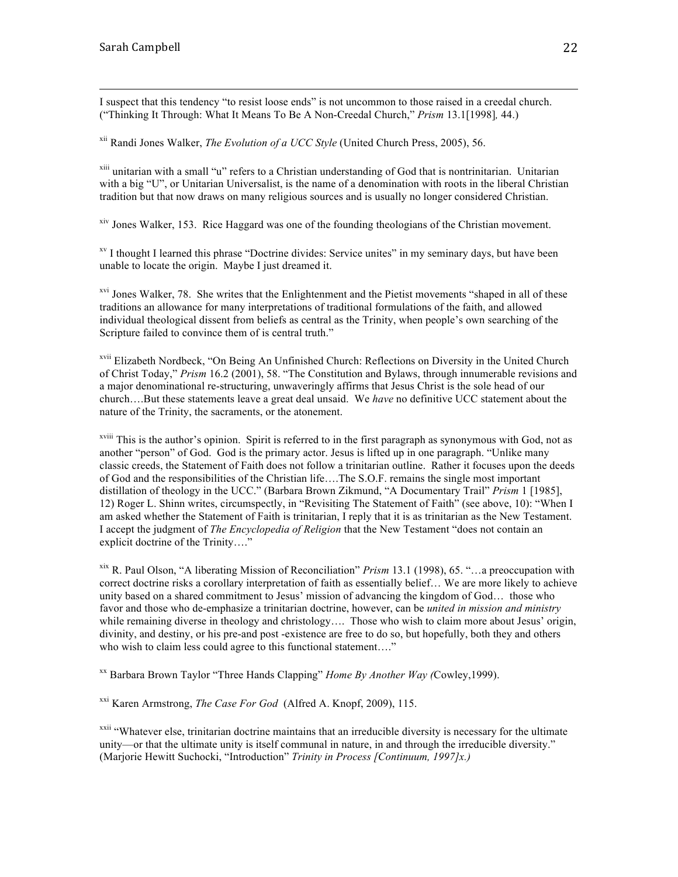I suspect that this tendency "to resist loose ends" is not uncommon to those raised in a creedal church. ("Thinking It Through: What It Means To Be A Non-Creedal Church," *Prism* 13.1[1998]*,* 44.)

<u> 1989 - Jan Samuel Barbara, martxa a shekara tsa 1989 - An tsa 1989 - An tsa 1989 - An tsa 1989 - An tsa 198</u>

xii Randi Jones Walker, *The Evolution of a UCC Style* (United Church Press, 2005), 56.

xiii unitarian with a small "u" refers to a Christian understanding of God that is nontrinitarian. Unitarian with a big "U", or Unitarian Universalist, is the name of a denomination with roots in the liberal Christian tradition but that now draws on many religious sources and is usually no longer considered Christian.

xiv Jones Walker, 153. Rice Haggard was one of the founding theologians of the Christian movement.

xv I thought I learned this phrase "Doctrine divides: Service unites" in my seminary days, but have been unable to locate the origin. Maybe I just dreamed it.

<sup>xvi</sup> Jones Walker, 78. She writes that the Enlightenment and the Pietist movements "shaped in all of these traditions an allowance for many interpretations of traditional formulations of the faith, and allowed individual theological dissent from beliefs as central as the Trinity, when people's own searching of the Scripture failed to convince them of is central truth."

xvii Elizabeth Nordbeck, "On Being An Unfinished Church: Reflections on Diversity in the United Church of Christ Today," *Prism* 16.2 (2001), 58. "The Constitution and Bylaws, through innumerable revisions and a major denominational re-structuring, unwaveringly affirms that Jesus Christ is the sole head of our church….But these statements leave a great deal unsaid. We *have* no definitive UCC statement about the nature of the Trinity, the sacraments, or the atonement.

xviii This is the author's opinion. Spirit is referred to in the first paragraph as synonymous with God, not as another "person" of God. God is the primary actor. Jesus is lifted up in one paragraph. "Unlike many classic creeds, the Statement of Faith does not follow a trinitarian outline. Rather it focuses upon the deeds of God and the responsibilities of the Christian life….The S.O.F. remains the single most important distillation of theology in the UCC." (Barbara Brown Zikmund, "A Documentary Trail" *Prism* 1 [1985], 12) Roger L. Shinn writes, circumspectly, in "Revisiting The Statement of Faith" (see above, 10): "When I am asked whether the Statement of Faith is trinitarian, I reply that it is as trinitarian as the New Testament. I accept the judgment of *The Encyclopedia of Religion* that the New Testament "does not contain an explicit doctrine of the Trinity…."

xix R. Paul Olson, "A liberating Mission of Reconciliation" *Prism* 13.1 (1998), 65. "…a preoccupation with correct doctrine risks a corollary interpretation of faith as essentially belief… We are more likely to achieve unity based on a shared commitment to Jesus' mission of advancing the kingdom of God… those who favor and those who de-emphasize a trinitarian doctrine, however, can be *united in mission and ministry* while remaining diverse in theology and christology.... Those who wish to claim more about Jesus' origin, divinity, and destiny, or his pre-and post -existence are free to do so, but hopefully, both they and others who wish to claim less could agree to this functional statement...."

xx Barbara Brown Taylor "Three Hands Clapping" *Home By Another Way (*Cowley,1999).

xxi Karen Armstrong, *The Case For God* (Alfred A. Knopf, 2009), 115.

<sup>xxii</sup> "Whatever else, trinitarian doctrine maintains that an irreducible diversity is necessary for the ultimate unity—or that the ultimate unity is itself communal in nature, in and through the irreducible diversity." (Marjorie Hewitt Suchocki, "Introduction" *Trinity in Process [Continuum, 1997]x.)*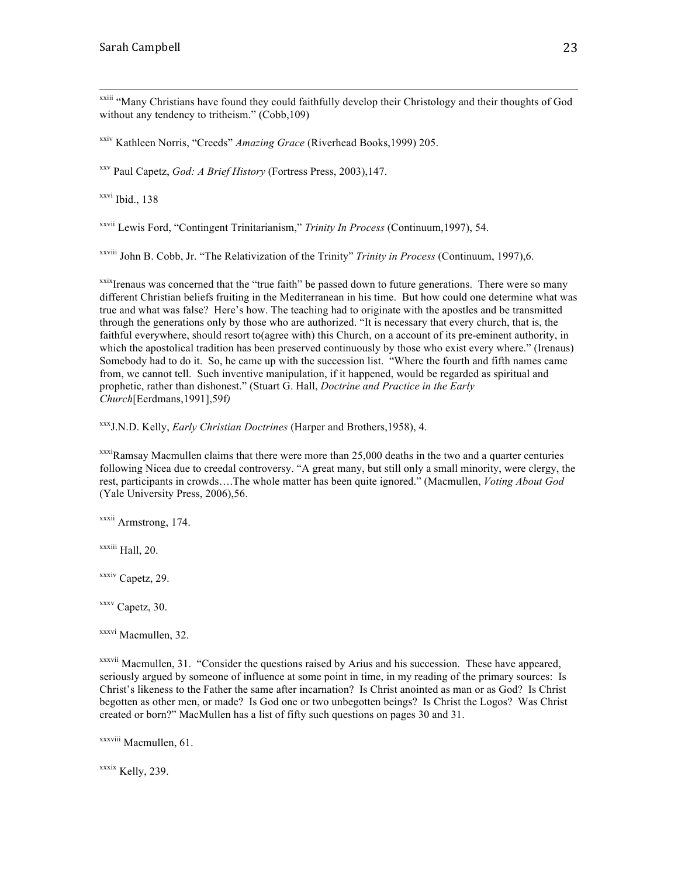xxiii "Many Christians have found they could faithfully develop their Christology and their thoughts of God without any tendency to tritheism." (Cobb, 109)

xxiv Kathleen Norris, "Creeds" *Amazing Grace* (Riverhead Books,1999) 205.

xxv Paul Capetz, *God: A Brief History* (Fortress Press, 2003),147.

 $x$ <sup>xxvi</sup> Ibid., 138

xxvii Lewis Ford, "Contingent Trinitarianism," *Trinity In Process* (Continuum,1997), 54.

xxviii John B. Cobb, Jr. "The Relativization of the Trinity" *Trinity in Process* (Continuum, 1997),6.

xxixIrenaus was concerned that the "true faith" be passed down to future generations. There were so many different Christian beliefs fruiting in the Mediterranean in his time. But how could one determine what was true and what was false? Here's how. The teaching had to originate with the apostles and be transmitted through the generations only by those who are authorized. "It is necessary that every church, that is, the faithful everywhere, should resort to(agree with) this Church, on a account of its pre-eminent authority, in which the apostolical tradition has been preserved continuously by those who exist every where." (Irenaus) Somebody had to do it. So, he came up with the succession list. "Where the fourth and fifth names came from, we cannot tell. Such inventive manipulation, if it happened, would be regarded as spiritual and prophetic, rather than dishonest." (Stuart G. Hall, *Doctrine and Practice in the Early Church*[Eerdmans,1991],59f*)*

xxxJ.N.D. Kelly, *Early Christian Doctrines* (Harper and Brothers,1958), 4.

 $\frac{x}x}$ Ramsay Macmullen claims that there were more than 25,000 deaths in the two and a quarter centuries following Nicea due to creedal controversy. "A great many, but still only a small minority, were clergy, the rest, participants in crowds….The whole matter has been quite ignored." (Macmullen, *Voting About God*  (Yale University Press, 2006),56.

xxxii Armstrong, 174.

xxxiii Hall, 20.

xxxiv Capetz, 29.

xxxv Capetz, 30.

xxxvi Macmullen, 32.

 $x$ <sup>xxxvii</sup> Macmullen, 31. "Consider the questions raised by Arius and his succession. These have appeared, seriously argued by someone of influence at some point in time, in my reading of the primary sources: Is Christ's likeness to the Father the same after incarnation? Is Christ anointed as man or as God? Is Christ begotten as other men, or made? Is God one or two unbegotten beings? Is Christ the Logos? Was Christ created or born?" MacMullen has a list of fifty such questions on pages 30 and 31.

xxxviii Macmullen, 61.

xxxix Kelly, 239.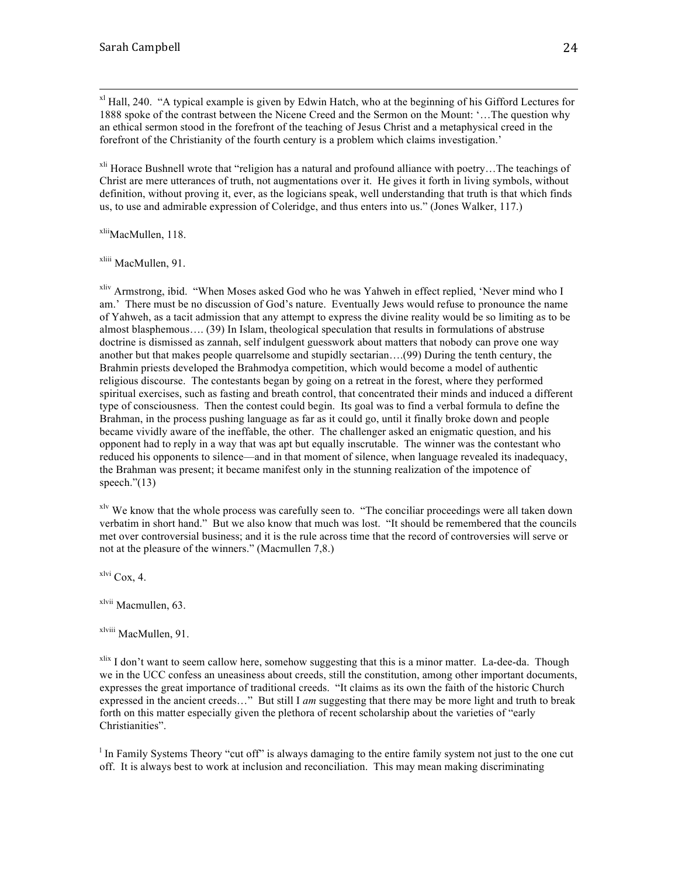$x<sup>1</sup>$  Hall, 240. "A typical example is given by Edwin Hatch, who at the beginning of his Gifford Lectures for 1888 spoke of the contrast between the Nicene Creed and the Sermon on the Mount: '…The question why an ethical sermon stood in the forefront of the teaching of Jesus Christ and a metaphysical creed in the forefront of the Christianity of the fourth century is a problem which claims investigation.'

<sup>xli</sup> Horace Bushnell wrote that "religion has a natural and profound alliance with poetry...The teachings of Christ are mere utterances of truth, not augmentations over it. He gives it forth in living symbols, without definition, without proving it, ever, as the logicians speak, well understanding that truth is that which finds us, to use and admirable expression of Coleridge, and thus enters into us." (Jones Walker, 117.)

xlii<sub>MacMullen, 118.</sub>

xliii MacMullen, 91.

<sup>xliv</sup> Armstrong, ibid. "When Moses asked God who he was Yahweh in effect replied, 'Never mind who I am.' There must be no discussion of God's nature. Eventually Jews would refuse to pronounce the name of Yahweh, as a tacit admission that any attempt to express the divine reality would be so limiting as to be almost blasphemous…. (39) In Islam, theological speculation that results in formulations of abstruse doctrine is dismissed as zannah, self indulgent guesswork about matters that nobody can prove one way another but that makes people quarrelsome and stupidly sectarian….(99) During the tenth century, the Brahmin priests developed the Brahmodya competition, which would become a model of authentic religious discourse. The contestants began by going on a retreat in the forest, where they performed spiritual exercises, such as fasting and breath control, that concentrated their minds and induced a different type of consciousness. Then the contest could begin. Its goal was to find a verbal formula to define the Brahman, in the process pushing language as far as it could go, until it finally broke down and people became vividly aware of the ineffable, the other. The challenger asked an enigmatic question, and his opponent had to reply in a way that was apt but equally inscrutable. The winner was the contestant who reduced his opponents to silence—and in that moment of silence, when language revealed its inadequacy, the Brahman was present; it became manifest only in the stunning realization of the impotence of speech." $(13)$ 

<sup>xlv</sup> We know that the whole process was carefully seen to. "The conciliar proceedings were all taken down verbatim in short hand." But we also know that much was lost. "It should be remembered that the councils met over controversial business; and it is the rule across time that the record of controversies will serve or not at the pleasure of the winners." (Macmullen 7,8.)

xlvi Cox, 4.

xlvii Macmullen, 63.

xlviii MacMullen, 91.

 $x$ lix I don't want to seem callow here, somehow suggesting that this is a minor matter. La-dee-da. Though we in the UCC confess an uneasiness about creeds, still the constitution, among other important documents, expresses the great importance of traditional creeds. "It claims as its own the faith of the historic Church expressed in the ancient creeds…" But still I *am* suggesting that there may be more light and truth to break forth on this matter especially given the plethora of recent scholarship about the varieties of "early Christianities".

<sup>1</sup> In Family Systems Theory "cut off" is always damaging to the entire family system not just to the one cut off. It is always best to work at inclusion and reconciliation. This may mean making discriminating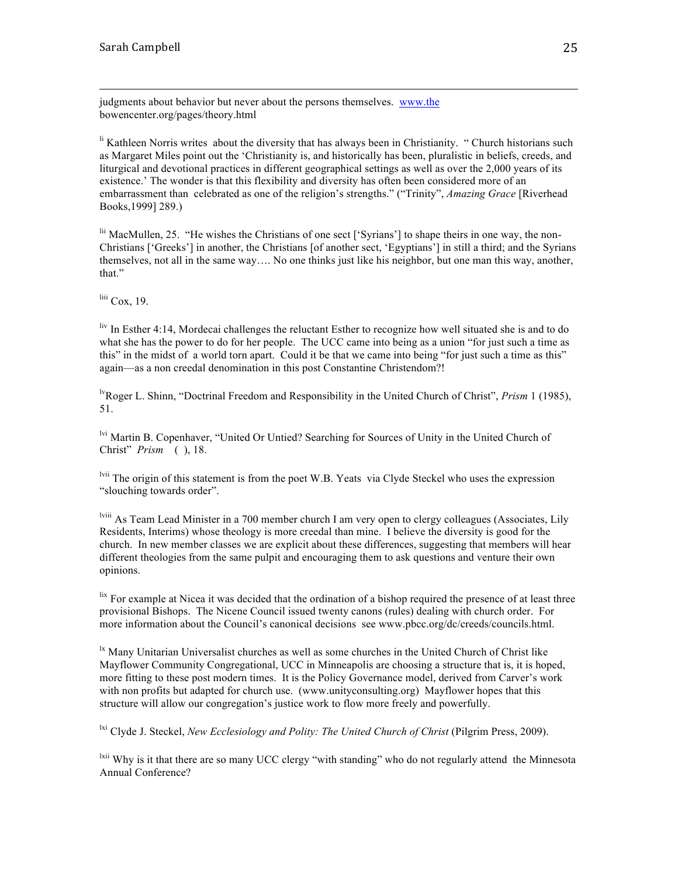judgments about behavior but never about the persons themselves. www.the bowencenter.org/pages/theory.html

<sup>li</sup> Kathleen Norris writes about the diversity that has always been in Christianity. "Church historians such as Margaret Miles point out the 'Christianity is, and historically has been, pluralistic in beliefs, creeds, and liturgical and devotional practices in different geographical settings as well as over the 2,000 years of its existence.' The wonder is that this flexibility and diversity has often been considered more of an embarrassment than celebrated as one of the religion's strengths." ("Trinity", *Amazing Grace* [Riverhead Books,1999] 289.)

<u> 1989 - Andrea Santa Alemania, politika amerikana (h. 1989).</u>

lii MacMullen, 25. "He wishes the Christians of one sect ['Syrians'] to shape theirs in one way, the non-Christians ['Greeks'] in another, the Christians [of another sect, 'Egyptians'] in still a third; and the Syrians themselves, not all in the same way…. No one thinks just like his neighbor, but one man this way, another, that."

 $\frac{\text{liii}}{\text{Cox}}$ , 19.

 $\frac{div}{dx}$  In Esther 4:14, Mordecai challenges the reluctant Esther to recognize how well situated she is and to do what she has the power to do for her people. The UCC came into being as a union "for just such a time as this" in the midst of a world torn apart. Could it be that we came into being "for just such a time as this" again—as a non creedal denomination in this post Constantine Christendom?!

lvRoger L. Shinn, "Doctrinal Freedom and Responsibility in the United Church of Christ", *Prism* 1 (1985), 51.

lvi Martin B. Copenhaver, "United Or Untied? Searching for Sources of Unity in the United Church of Christ" *Prism* ( ), 18.

lvii The origin of this statement is from the poet W.B. Yeats via Clyde Steckel who uses the expression "slouching towards order".

lviii As Team Lead Minister in a 700 member church I am very open to clergy colleagues (Associates, Lily Residents, Interims) whose theology is more creedal than mine. I believe the diversity is good for the church. In new member classes we are explicit about these differences, suggesting that members will hear different theologies from the same pulpit and encouraging them to ask questions and venture their own opinions.

 $\frac{h}{x}$  For example at Nicea it was decided that the ordination of a bishop required the presence of at least three provisional Bishops. The Nicene Council issued twenty canons (rules) dealing with church order. For more information about the Council's canonical decisions see www.pbcc.org/dc/creeds/councils.html.

 $\mu$ <sup>1x</sup> Many Unitarian Universalist churches as well as some churches in the United Church of Christ like Mayflower Community Congregational, UCC in Minneapolis are choosing a structure that is, it is hoped, more fitting to these post modern times. It is the Policy Governance model, derived from Carver's work with non profits but adapted for church use. (www.unityconsulting.org) Mayflower hopes that this structure will allow our congregation's justice work to flow more freely and powerfully.

<sup>1xi</sup> Clyde J. Steckel, *New Ecclesiology and Polity: The United Church of Christ* (Pilgrim Press, 2009).

<sup>lxii</sup> Why is it that there are so many UCC clergy "with standing" who do not regularly attend the Minnesota Annual Conference?